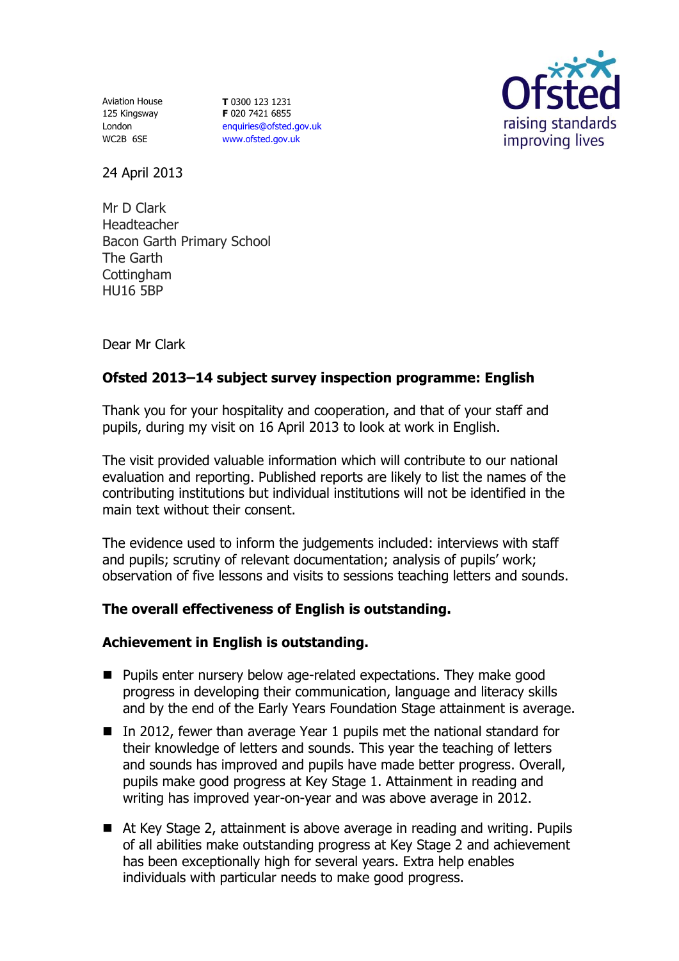Aviation House 125 Kingsway London WC2B 6SE

**T** 0300 123 1231 **F** 020 7421 6855 [enquiries@ofsted.gov.uk](mailto:enquiries@ofsted.gov.uk) [www.ofsted.gov.uk](http://www.ofsted.gov.uk/)



24 April 2013

Mr D Clark Headteacher Bacon Garth Primary School The Garth **Cottingham** HU16 5BP

Dear Mr Clark

# **Ofsted 2013–14 subject survey inspection programme: English**

Thank you for your hospitality and cooperation, and that of your staff and pupils, during my visit on 16 April 2013 to look at work in English.

The visit provided valuable information which will contribute to our national evaluation and reporting. Published reports are likely to list the names of the contributing institutions but individual institutions will not be identified in the main text without their consent.

The evidence used to inform the judgements included: interviews with staff and pupils; scrutiny of relevant documentation; analysis of pupils' work; observation of five lessons and visits to sessions teaching letters and sounds.

## **The overall effectiveness of English is outstanding.**

## **Achievement in English is outstanding.**

- **Pupils enter nursery below age-related expectations. They make good** progress in developing their communication, language and literacy skills and by the end of the Early Years Foundation Stage attainment is average.
- In 2012, fewer than average Year 1 pupils met the national standard for their knowledge of letters and sounds. This year the teaching of letters and sounds has improved and pupils have made better progress. Overall, pupils make good progress at Key Stage 1. Attainment in reading and writing has improved year-on-year and was above average in 2012.
- At Key Stage 2, attainment is above average in reading and writing. Pupils of all abilities make outstanding progress at Key Stage 2 and achievement has been exceptionally high for several years. Extra help enables individuals with particular needs to make good progress.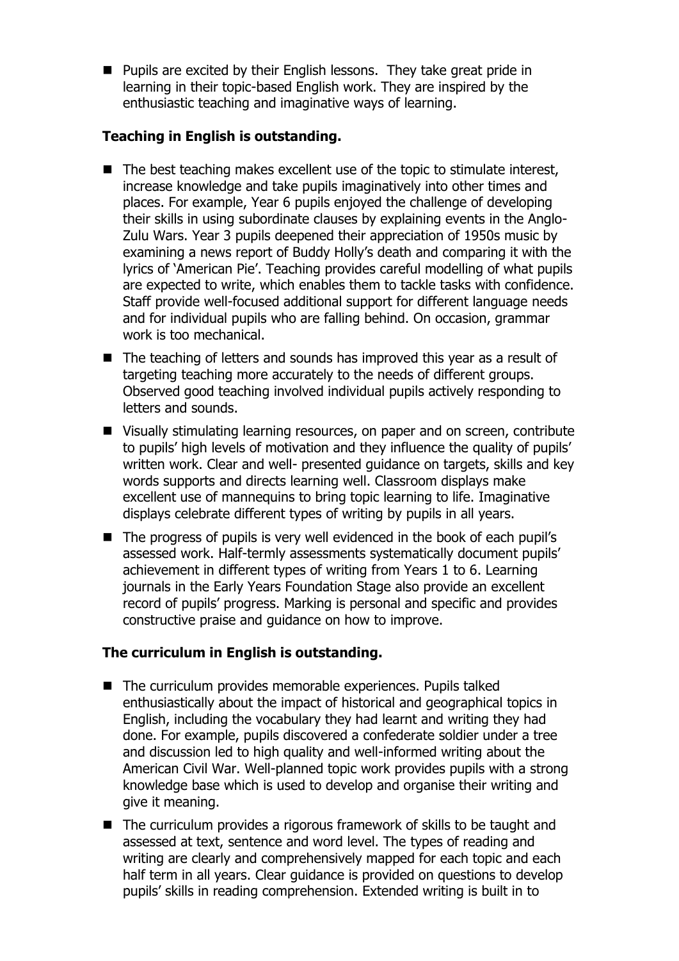**Pupils are excited by their English lessons. They take great pride in** learning in their topic-based English work. They are inspired by the enthusiastic teaching and imaginative ways of learning.

## **Teaching in English is outstanding.**

- $\blacksquare$  The best teaching makes excellent use of the topic to stimulate interest, increase knowledge and take pupils imaginatively into other times and places. For example, Year 6 pupils enjoyed the challenge of developing their skills in using subordinate clauses by explaining events in the Anglo-Zulu Wars. Year 3 pupils deepened their appreciation of 1950s music by examining a news report of Buddy Holly's death and comparing it with the lyrics of 'American Pie'. Teaching provides careful modelling of what pupils are expected to write, which enables them to tackle tasks with confidence. Staff provide well-focused additional support for different language needs and for individual pupils who are falling behind. On occasion, grammar work is too mechanical.
- The teaching of letters and sounds has improved this year as a result of targeting teaching more accurately to the needs of different groups. Observed good teaching involved individual pupils actively responding to letters and sounds.
- Visually stimulating learning resources, on paper and on screen, contribute to pupils' high levels of motivation and they influence the quality of pupils' written work. Clear and well- presented guidance on targets, skills and key words supports and directs learning well. Classroom displays make excellent use of mannequins to bring topic learning to life. Imaginative displays celebrate different types of writing by pupils in all years.
- The progress of pupils is very well evidenced in the book of each pupil's assessed work. Half-termly assessments systematically document pupils' achievement in different types of writing from Years 1 to 6. Learning journals in the Early Years Foundation Stage also provide an excellent record of pupils' progress. Marking is personal and specific and provides constructive praise and guidance on how to improve.

## **The curriculum in English is outstanding.**

- The curriculum provides memorable experiences. Pupils talked enthusiastically about the impact of historical and geographical topics in English, including the vocabulary they had learnt and writing they had done. For example, pupils discovered a confederate soldier under a tree and discussion led to high quality and well-informed writing about the American Civil War. Well-planned topic work provides pupils with a strong knowledge base which is used to develop and organise their writing and give it meaning.
- The curriculum provides a rigorous framework of skills to be taught and assessed at text, sentence and word level. The types of reading and writing are clearly and comprehensively mapped for each topic and each half term in all years. Clear guidance is provided on questions to develop pupils' skills in reading comprehension. Extended writing is built in to